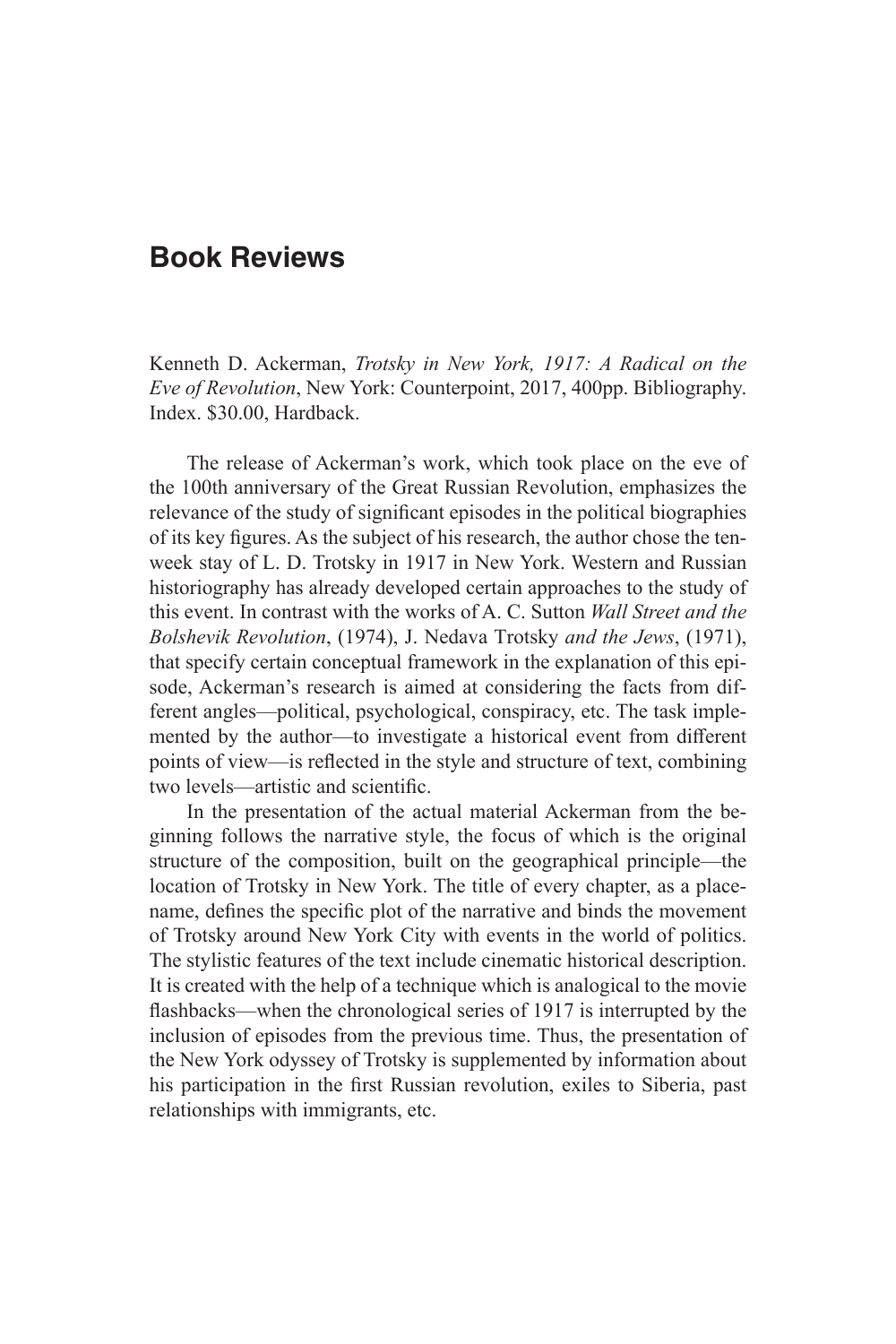## **Book Reviews**

Kenneth D. Ackerman, *Trotsky in New York, 1917: A Radical on the Eve of Revolution*, New York: Counterpoint, 2017, 400pp. Bibliography. Index. \$30.00, Hardback.

The release of Ackerman's work, which took place on the eve of the 100th anniversary of the Great Russian Revolution, emphasizes the relevance of the study of significant episodes in the political biographies of its key figures. As the subject of his research, the author chose the tenweek stay of L. D. Trotsky in 1917 in New York. Western and Russian historiography has already developed certain approaches to the study of this event. In contrast with the works of A. C. Sutton *Wall Street and the Bolshevik Revolution*, (1974), J. Nedava Тrotsky *and the Jews*, (1971), that specify certain conceptual framework in the explanation of this episode, Ackerman's research is aimed at considering the facts from different angles—political, psychological, conspiracy, etc. The task implemented by the author—to investigate a historical event from different points of view—is reflected in the style and structure of text, combining two levels—artistic and scientific.

In the presentation of the actual material Ackerman from the beginning follows the narrative style, the focus of which is the original structure of the composition, built on the geographical principle—the location of Trotsky in New York. The title of every chapter, as a placename, defines the specific plot of the narrative and binds the movement of Trotsky around New York City with events in the world of politics. The stylistic features of the text include cinematic historical description. It is created with the help of a technique which is analogical to the movie flashbacks—when the chronological series of 1917 is interrupted by the inclusion of episodes from the previous time. Thus, the presentation of the New York odyssey of Trotsky is supplemented by information about his participation in the first Russian revolution, exiles to Siberia, past relationships with immigrants, etc.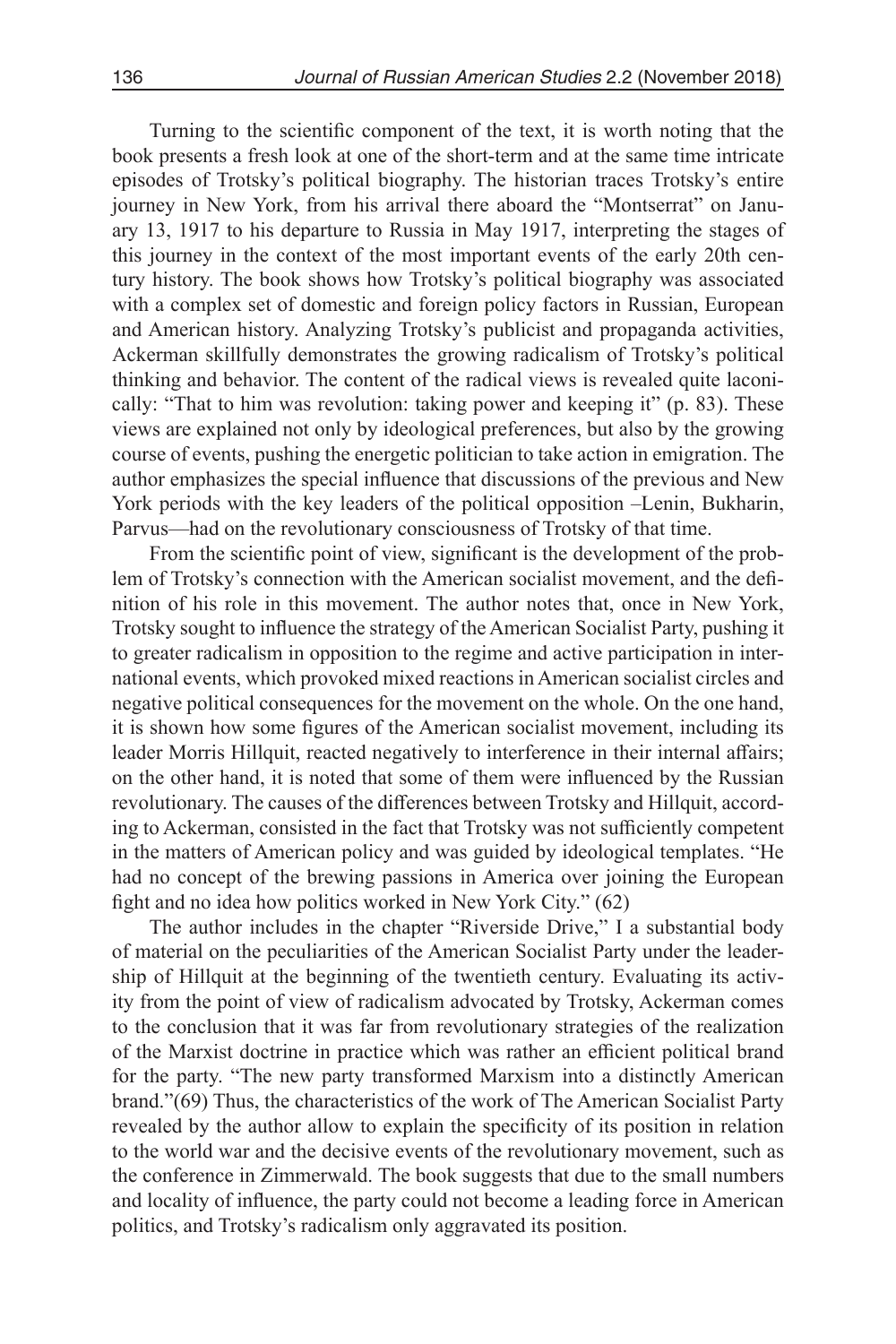Turning to the scientific component of the text, it is worth noting that the book presents a fresh look at one of the short-term and at the same time intricate episodes of Trotsky's political biography. The historian traces Trotsky's entire journey in New York, from his arrival there aboard the "Montserrat" on January 13, 1917 to his departure to Russia in May 1917, interpreting the stages of this journey in the context of the most important events of the early 20th century history. The book shows how Trotsky's political biography was associated with a complex set of domestic and foreign policy factors in Russian, European and American history. Analyzing Trotsky's publicist and propaganda activities, Ackerman skillfully demonstrates the growing radicalism of Trotsky's political thinking and behavior. The content of the radical views is revealed quite laconically: "That to him was revolution: taking power and keeping it"  $(p. 83)$ . These views are explained not only by ideological preferences, but also by the growing course of events, pushing the energetic politician to take action in emigration. The author emphasizes the special influence that discussions of the previous and New York periods with the key leaders of the political opposition –Lenin, Bukharin, Parvus—had on the revolutionary consciousness of Trotsky of that time.

From the scientific point of view, significant is the development of the problem of Trotsky's connection with the American socialist movement, and the definition of his role in this movement. The author notes that, once in New York, Trotsky sought to influence the strategy of the American Socialist Party, pushing it to greater radicalism in opposition to the regime and active participation in international events, which provoked mixed reactions in American socialist circles and negative political consequences for the movement on the whole. On the one hand, it is shown how some figures of the American socialist movement, including its leader Morris Hillquit, reacted negatively to interference in their internal affairs; on the other hand, it is noted that some of them were influenced by the Russian revolutionary. The causes of the differences between Trotsky and Hillquit, according to Ackerman, consisted in the fact that Trotsky was not sufficiently competent in the matters of American policy and was guided by ideological templates. "He had no concept of the brewing passions in America over joining the European fight and no idea how politics worked in New York City." (62)

The author includes in the chapter "Riverside Drive," I a substantial body of material on the peculiarities of the American Socialist Party under the leadership of Hillquit at the beginning of the twentieth century. Evaluating its activity from the point of view of radicalism advocated by Trotsky, Ackerman comes to the conclusion that it was far from revolutionary strategies of the realization of the Marxist doctrine in practice which was rather an efficient political brand for the party. "The new party transformed Marxism into a distinctly American brand."(69) Thus, the characteristics of the work of The American Socialist Party revealed by the author allow to explain the specificity of its position in relation to the world war and the decisive events of the revolutionary movement, such as the conference in Zimmerwald. The book suggests that due to the small numbers and locality of influence, the party could not become a leading force in American politics, and Trotsky's radicalism only aggravated its position.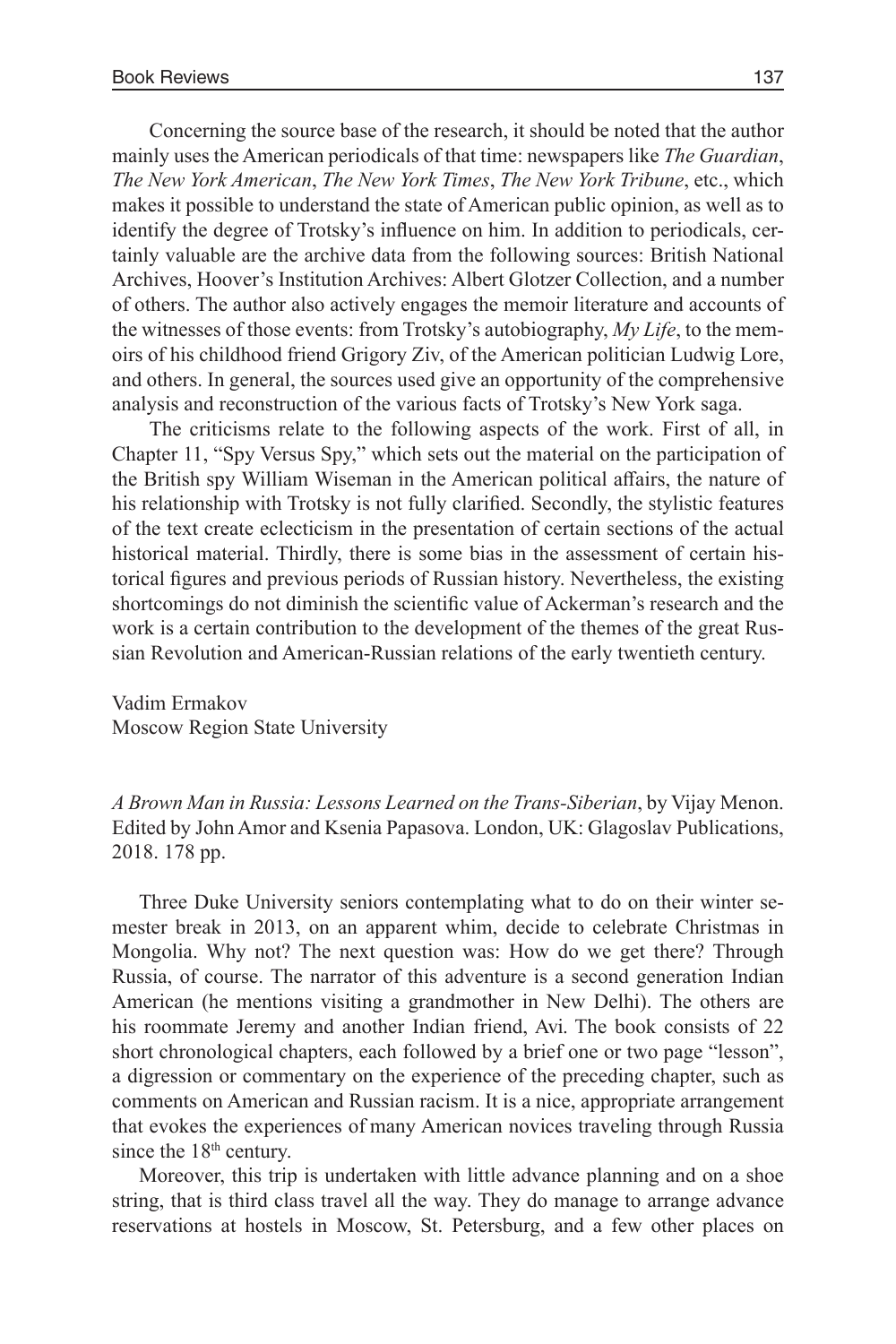Concerning the source base of the research, it should be noted that the author mainly uses the American periodicals of that time: newspapers like *The Guardian*, *The New York American*, *The New York Times*, *The New York Tribune*, etc., which makes it possible to understand the state of American public opinion, as well as to identify the degree of Trotsky's influence on him. In addition to periodicals, certainly valuable are the archive data from the following sources: British National Archives, Hoover's Institution Archives: Albert Glotzer Collection, and a number of others. The author also actively engages the memoir literature and accounts of the witnesses of those events: from Trotsky's autobiography, *My Life*, to the memoirs of his childhood friend Grigory Ziv, of the American politician Ludwig Lore, and others. In general, the sources used give an opportunity of the comprehensive analysis and reconstruction of the various facts of Trotsky's New York saga.

The criticisms relate to the following aspects of the work. First of all, in Chapter 11, "Spy Versus Spy," which sets out the material on the participation of the British spy William Wiseman in the American political affairs, the nature of his relationship with Trotsky is not fully clarified. Secondly, the stylistic features of the text create eclecticism in the presentation of certain sections of the actual historical material. Thirdly, there is some bias in the assessment of certain historical figures and previous periods of Russian history. Nevertheless, the existing shortcomings do not diminish the scientific value of Ackerman's research and the work is a certain contribution to the development of the themes of the great Russian Revolution and American-Russian relations of the early twentieth century.

Vadim Ermakov Moscow Region State University

*A Brown Man in Russia: Lessons Learned on the Trans-Siberian*, by Vijay Menon. Edited by John Amor and Ksenia Papasova. London, UK: Glagoslav Publications, 2018. 178 pp.

Three Duke University seniors contemplating what to do on their winter semester break in 2013, on an apparent whim, decide to celebrate Christmas in Mongolia. Why not? The next question was: How do we get there? Through Russia, of course. The narrator of this adventure is a second generation Indian American (he mentions visiting a grandmother in New Delhi). The others are his roommate Jeremy and another Indian friend, Avi. The book consists of 22 short chronological chapters, each followed by a brief one or two page "lesson", a digression or commentary on the experience of the preceding chapter, such as comments on American and Russian racism. It is a nice, appropriate arrangement that evokes the experiences of many American novices traveling through Russia since the  $18<sup>th</sup>$  century.

Moreover, this trip is undertaken with little advance planning and on a shoe string, that is third class travel all the way. They do manage to arrange advance reservations at hostels in Moscow, St. Petersburg, and a few other places on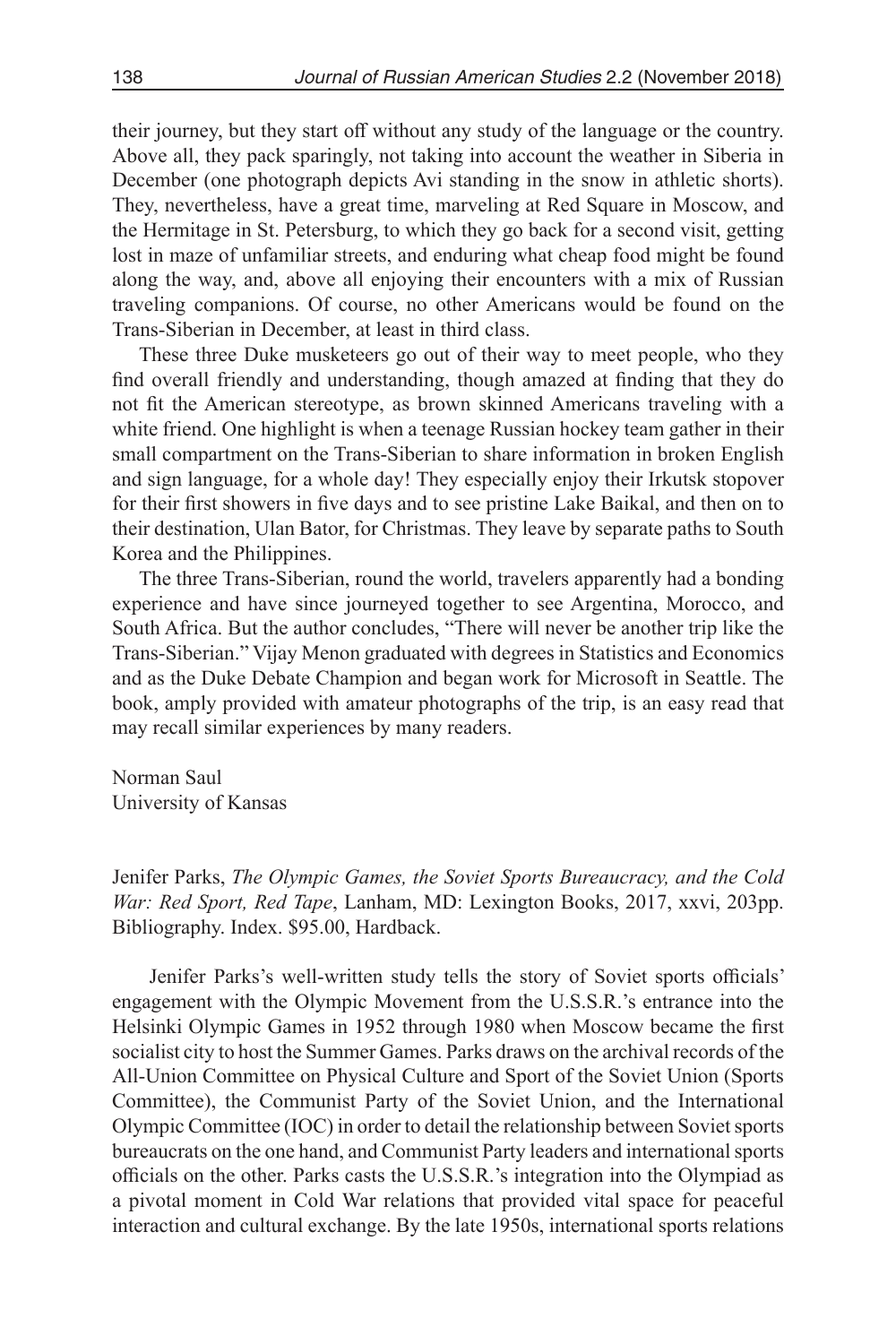their journey, but they start off without any study of the language or the country. Above all, they pack sparingly, not taking into account the weather in Siberia in December (one photograph depicts Avi standing in the snow in athletic shorts). They, nevertheless, have a great time, marveling at Red Square in Moscow, and the Hermitage in St. Petersburg, to which they go back for a second visit, getting lost in maze of unfamiliar streets, and enduring what cheap food might be found along the way, and, above all enjoying their encounters with a mix of Russian traveling companions. Of course, no other Americans would be found on the Trans-Siberian in December, at least in third class.

These three Duke musketeers go out of their way to meet people, who they find overall friendly and understanding, though amazed at finding that they do not fit the American stereotype, as brown skinned Americans traveling with a white friend. One highlight is when a teenage Russian hockey team gather in their small compartment on the Trans-Siberian to share information in broken English and sign language, for a whole day! They especially enjoy their Irkutsk stopover for their first showers in five days and to see pristine Lake Baikal, and then on to their destination, Ulan Bator, for Christmas. They leave by separate paths to South Korea and the Philippines.

The three Trans-Siberian, round the world, travelers apparently had a bonding experience and have since journeyed together to see Argentina, Morocco, and South Africa. But the author concludes, "There will never be another trip like the Trans-Siberian." Vijay Menon graduated with degrees in Statistics and Economics and as the Duke Debate Champion and began work for Microsoft in Seattle. The book, amply provided with amateur photographs of the trip, is an easy read that may recall similar experiences by many readers.

Norman Saul University of Kansas

Jenifer Parks, *The Olympic Games, the Soviet Sports Bureaucracy, and the Cold War: Red Sport, Red Tape*, Lanham, MD: Lexington Books, 2017, xxvi, 203pp. Bibliography. Index. \$95.00, Hardback.

Jenifer Parks's well-written study tells the story of Soviet sports officials' engagement with the Olympic Movement from the U.S.S.R.'s entrance into the Helsinki Olympic Games in 1952 through 1980 when Moscow became the first socialist city to host the Summer Games. Parks draws on the archival records of the All-Union Committee on Physical Culture and Sport of the Soviet Union (Sports Committee), the Communist Party of the Soviet Union, and the International Olympic Committee (IOC) in order to detail the relationship between Soviet sports bureaucrats on the one hand, and Communist Party leaders and international sports officials on the other. Parks casts the U.S.S.R.'s integration into the Olympiad as a pivotal moment in Cold War relations that provided vital space for peaceful interaction and cultural exchange. By the late 1950s, international sports relations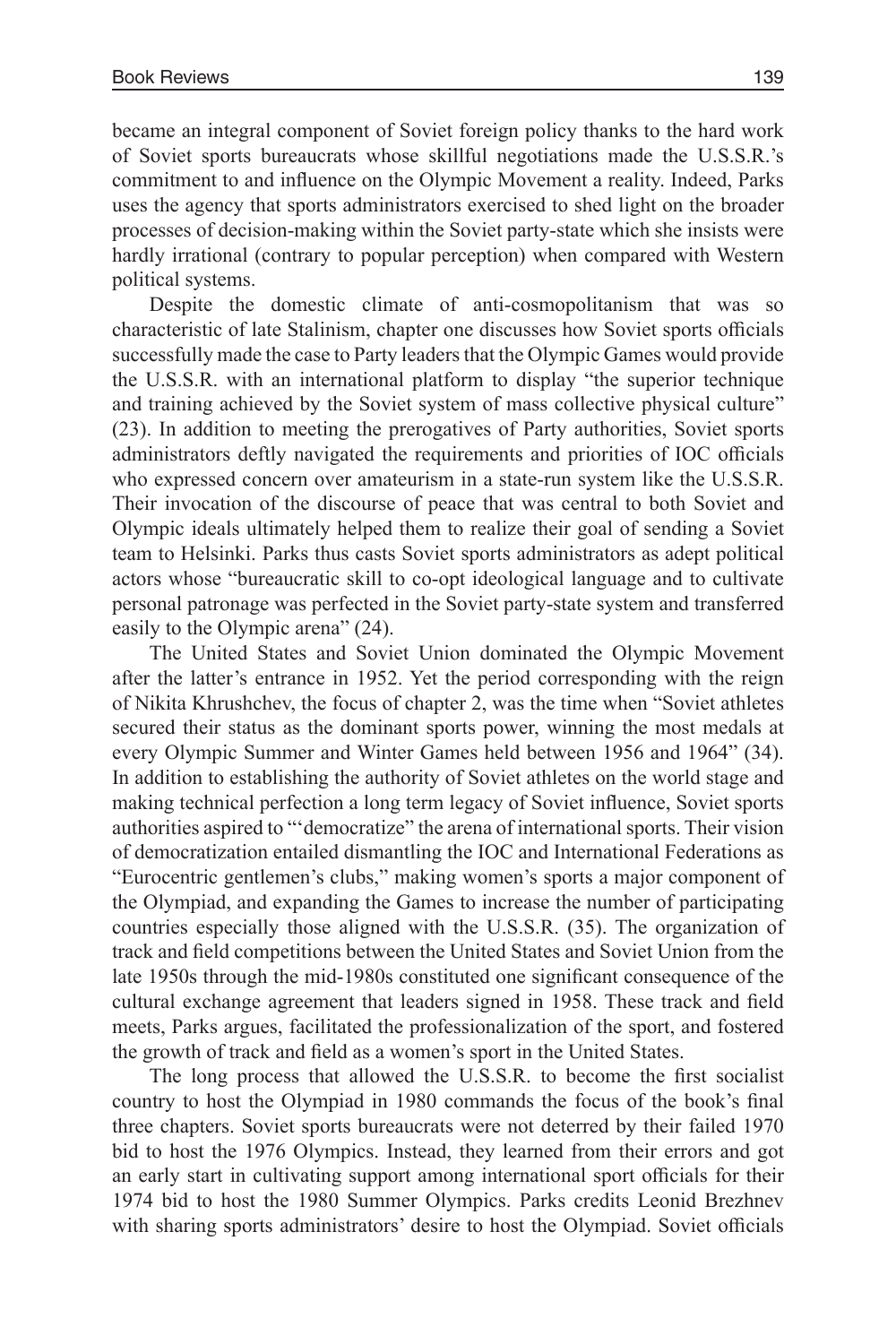became an integral component of Soviet foreign policy thanks to the hard work of Soviet sports bureaucrats whose skillful negotiations made the U.S.S.R.'s commitment to and influence on the Olympic Movement a reality. Indeed, Parks uses the agency that sports administrators exercised to shed light on the broader processes of decision-making within the Soviet party-state which she insists were hardly irrational (contrary to popular perception) when compared with Western political systems.

Despite the domestic climate of anti-cosmopolitanism that was so characteristic of late Stalinism, chapter one discusses how Soviet sports officials successfully made the case to Party leaders that the Olympic Games would provide the U.S.S.R. with an international platform to display "the superior technique and training achieved by the Soviet system of mass collective physical culture" (23). In addition to meeting the prerogatives of Party authorities, Soviet sports administrators deftly navigated the requirements and priorities of IOC officials who expressed concern over amateurism in a state-run system like the U.S.S.R. Their invocation of the discourse of peace that was central to both Soviet and Olympic ideals ultimately helped them to realize their goal of sending a Soviet team to Helsinki. Parks thus casts Soviet sports administrators as adept political actors whose "bureaucratic skill to co-opt ideological language and to cultivate personal patronage was perfected in the Soviet party-state system and transferred easily to the Olympic arena" (24).

The United States and Soviet Union dominated the Olympic Movement after the latter's entrance in 1952. Yet the period corresponding with the reign of Nikita Khrushchev, the focus of chapter 2, was the time when "Soviet athletes secured their status as the dominant sports power, winning the most medals at every Olympic Summer and Winter Games held between 1956 and 1964" (34). In addition to establishing the authority of Soviet athletes on the world stage and making technical perfection a long term legacy of Soviet influence, Soviet sports authorities aspired to "'democratize" the arena of international sports. Their vision of democratization entailed dismantling the IOC and International Federations as "Eurocentric gentlemen's clubs," making women's sports a major component of the Olympiad, and expanding the Games to increase the number of participating countries especially those aligned with the U.S.S.R. (35). The organization of track and field competitions between the United States and Soviet Union from the late 1950s through the mid-1980s constituted one significant consequence of the cultural exchange agreement that leaders signed in 1958. These track and field meets, Parks argues, facilitated the professionalization of the sport, and fostered the growth of track and field as a women's sport in the United States.

The long process that allowed the U.S.S.R. to become the first socialist country to host the Olympiad in 1980 commands the focus of the book's final three chapters. Soviet sports bureaucrats were not deterred by their failed 1970 bid to host the 1976 Olympics. Instead, they learned from their errors and got an early start in cultivating support among international sport officials for their 1974 bid to host the 1980 Summer Olympics. Parks credits Leonid Brezhnev with sharing sports administrators' desire to host the Olympiad. Soviet officials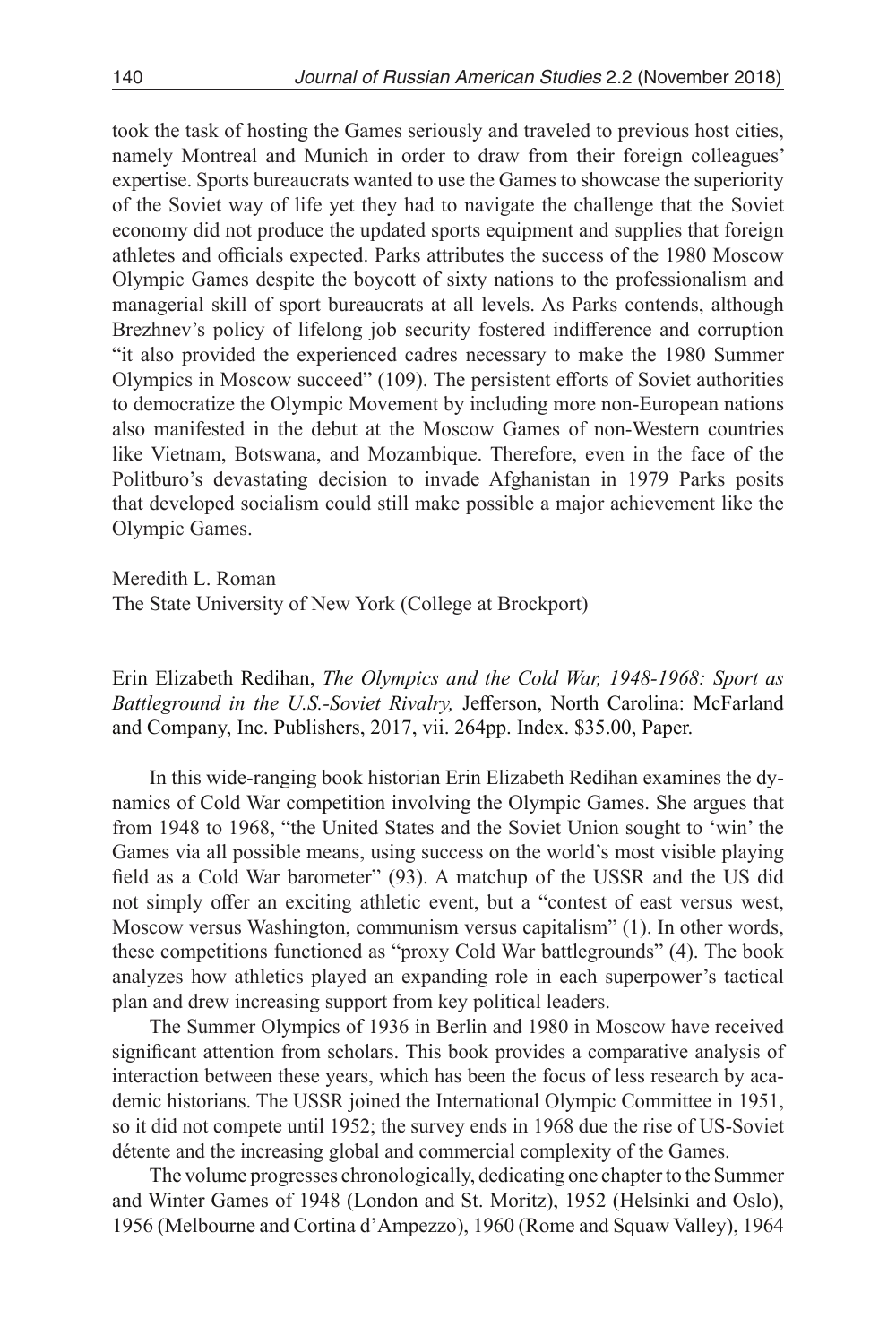took the task of hosting the Games seriously and traveled to previous host cities, namely Montreal and Munich in order to draw from their foreign colleagues' expertise. Sports bureaucrats wanted to use the Games to showcase the superiority of the Soviet way of life yet they had to navigate the challenge that the Soviet economy did not produce the updated sports equipment and supplies that foreign athletes and officials expected. Parks attributes the success of the 1980 Moscow Olympic Games despite the boycott of sixty nations to the professionalism and managerial skill of sport bureaucrats at all levels. As Parks contends, although Brezhnev's policy of lifelong job security fostered indifference and corruption "it also provided the experienced cadres necessary to make the 1980 Summer Olympics in Moscow succeed" (109). The persistent efforts of Soviet authorities to democratize the Olympic Movement by including more non-European nations also manifested in the debut at the Moscow Games of non-Western countries like Vietnam, Botswana, and Mozambique. Therefore, even in the face of the Politburo's devastating decision to invade Afghanistan in 1979 Parks posits that developed socialism could still make possible a major achievement like the Olympic Games.

Meredith L. Roman

The State University of New York (College at Brockport)

Erin Elizabeth Redihan, *The Olympics and the Cold War, 1948-1968: Sport as Battleground in the U.S.-Soviet Rivalry,* Jefferson, North Carolina: McFarland and Company, Inc. Publishers, 2017, vii. 264pp. Index. \$35.00, Paper.

In this wide-ranging book historian Erin Elizabeth Redihan examines the dynamics of Cold War competition involving the Olympic Games. She argues that from 1948 to 1968, "the United States and the Soviet Union sought to 'win' the Games via all possible means, using success on the world's most visible playing field as a Cold War barometer" (93). A matchup of the USSR and the US did not simply offer an exciting athletic event, but a "contest of east versus west, Moscow versus Washington, communism versus capitalism" (1). In other words, these competitions functioned as "proxy Cold War battlegrounds" (4). The book analyzes how athletics played an expanding role in each superpower's tactical plan and drew increasing support from key political leaders.

The Summer Olympics of 1936 in Berlin and 1980 in Moscow have received significant attention from scholars. This book provides a comparative analysis of interaction between these years, which has been the focus of less research by academic historians. The USSR joined the International Olympic Committee in 1951, so it did not compete until 1952; the survey ends in 1968 due the rise of US-Soviet détente and the increasing global and commercial complexity of the Games.

The volume progresses chronologically, dedicating one chapter to the Summer and Winter Games of 1948 (London and St. Moritz), 1952 (Helsinki and Oslo), 1956 (Melbourne and Cortina d'Ampezzo), 1960 (Rome and Squaw Valley), 1964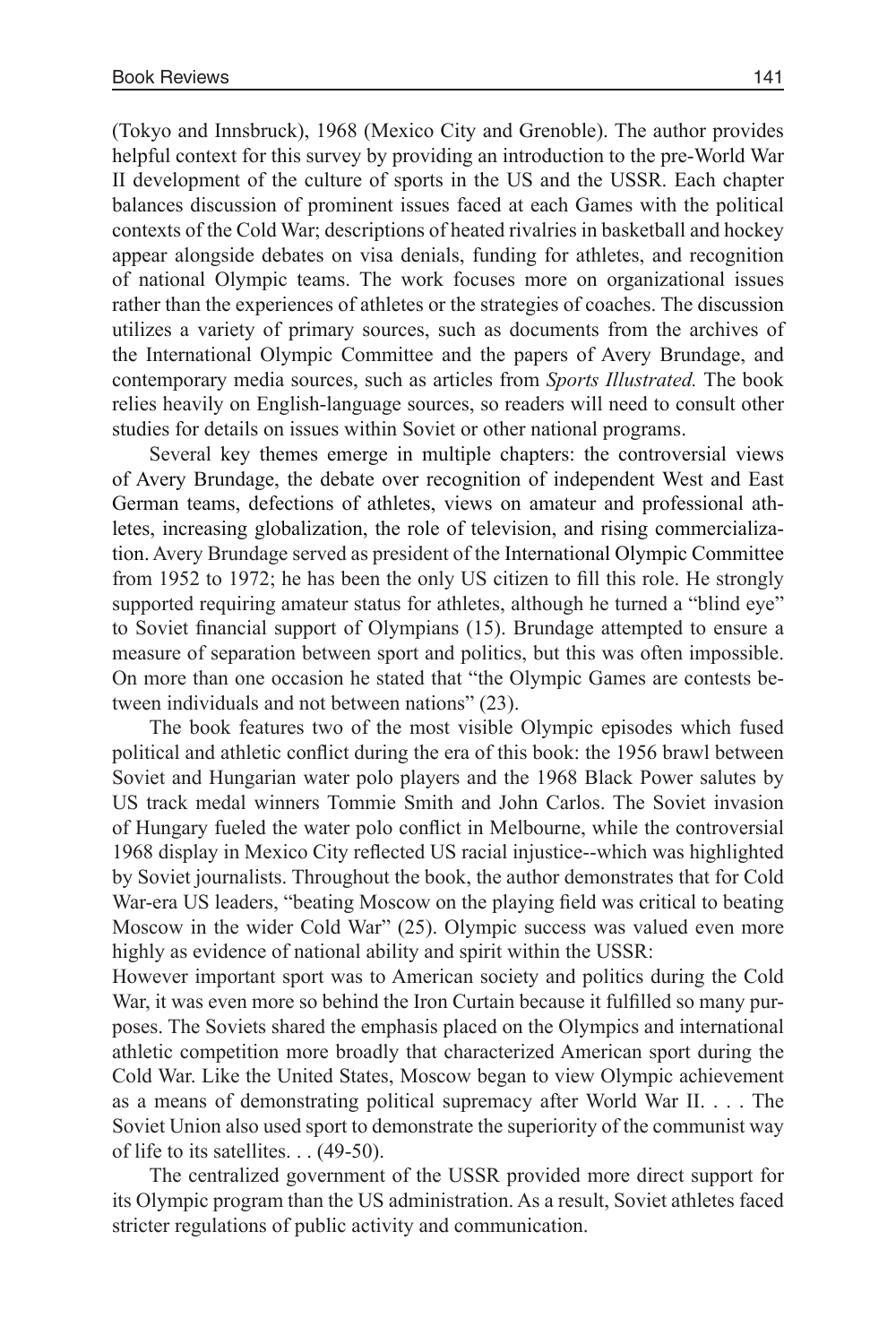(Tokyo and Innsbruck), 1968 (Mexico City and Grenoble). The author provides helpful context for this survey by providing an introduction to the pre-World War II development of the culture of sports in the US and the USSR. Each chapter balances discussion of prominent issues faced at each Games with the political contexts of the Cold War; descriptions of heated rivalries in basketball and hockey appear alongside debates on visa denials, funding for athletes, and recognition of national Olympic teams. The work focuses more on organizational issues rather than the experiences of athletes or the strategies of coaches. The discussion utilizes a variety of primary sources, such as documents from the archives of the International Olympic Committee and the papers of Avery Brundage, and contemporary media sources, such as articles from *Sports Illustrated.* The book relies heavily on English-language sources, so readers will need to consult other studies for details on issues within Soviet or other national programs.

Several key themes emerge in multiple chapters: the controversial views of Avery Brundage, the debate over recognition of independent West and East German teams, defections of athletes, views on amateur and professional athletes, increasing globalization, the role of television, and rising commercialization. Avery Brundage served as president of the International Olympic Committee from 1952 to 1972; he has been the only US citizen to fill this role. He strongly supported requiring amateur status for athletes, although he turned a "blind eye" to Soviet financial support of Olympians (15). Brundage attempted to ensure a measure of separation between sport and politics, but this was often impossible. On more than one occasion he stated that "the Olympic Games are contests between individuals and not between nations" (23).

The book features two of the most visible Olympic episodes which fused political and athletic conflict during the era of this book: the 1956 brawl between Soviet and Hungarian water polo players and the 1968 Black Power salutes by US track medal winners Tommie Smith and John Carlos. The Soviet invasion of Hungary fueled the water polo conflict in Melbourne, while the controversial 1968 display in Mexico City reflected US racial injustice--which was highlighted by Soviet journalists. Throughout the book, the author demonstrates that for Cold War-era US leaders, "beating Moscow on the playing field was critical to beating Moscow in the wider Cold War" (25). Olympic success was valued even more highly as evidence of national ability and spirit within the USSR:

However important sport was to American society and politics during the Cold War, it was even more so behind the Iron Curtain because it fulfilled so many purposes. The Soviets shared the emphasis placed on the Olympics and international athletic competition more broadly that characterized American sport during the Cold War. Like the United States, Moscow began to view Olympic achievement as a means of demonstrating political supremacy after World War II. . . . The Soviet Union also used sport to demonstrate the superiority of the communist way of life to its satellites. . . (49-50).

The centralized government of the USSR provided more direct support for its Olympic program than the US administration. As a result, Soviet athletes faced stricter regulations of public activity and communication.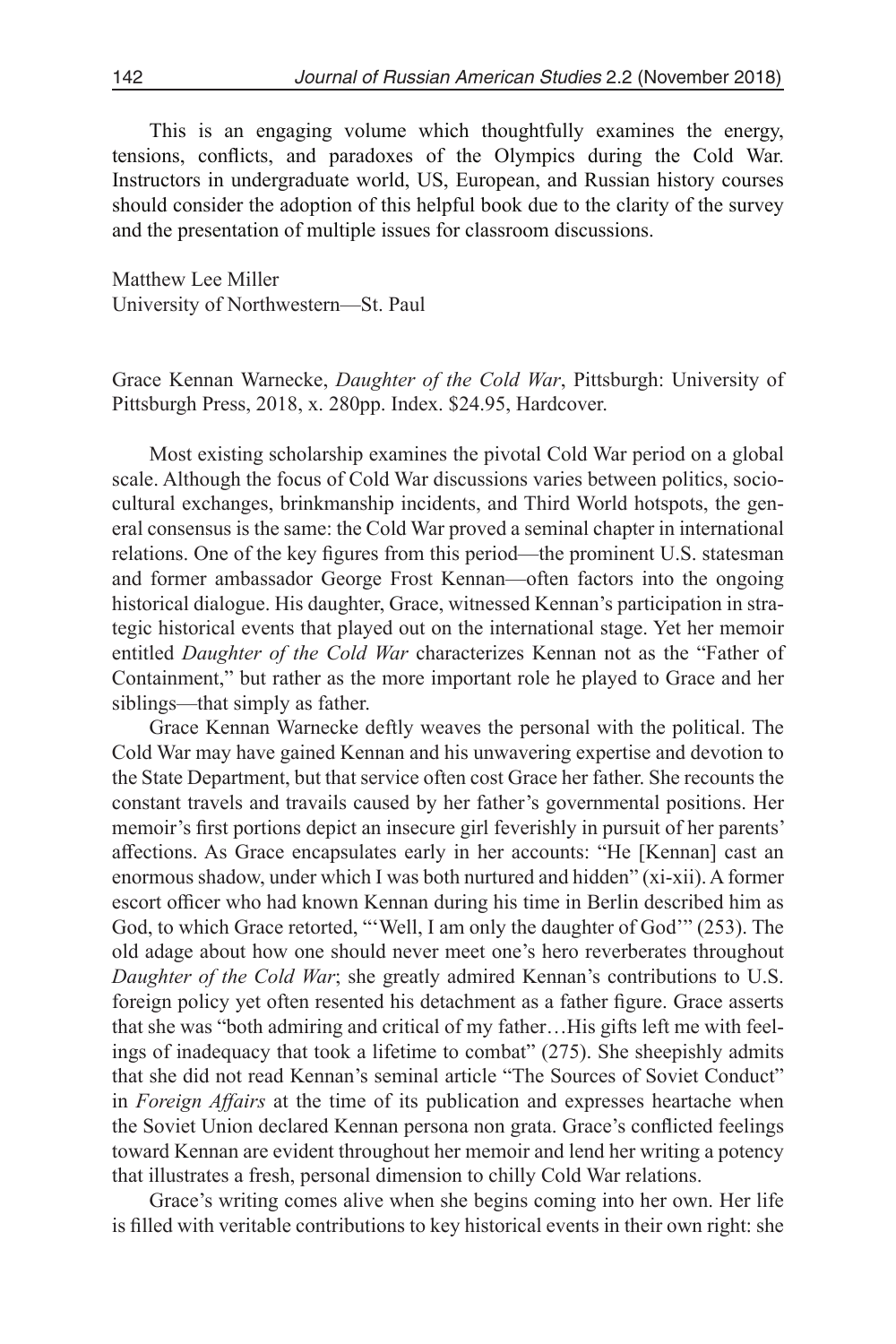This is an engaging volume which thoughtfully examines the energy, tensions, conflicts, and paradoxes of the Olympics during the Cold War. Instructors in undergraduate world, US, European, and Russian history courses should consider the adoption of this helpful book due to the clarity of the survey and the presentation of multiple issues for classroom discussions.

Matthew Lee Miller University of Northwestern—St. Paul

Grace Kennan Warnecke, *Daughter of the Cold War*, Pittsburgh: University of Pittsburgh Press, 2018, x. 280pp. Index. \$24.95, Hardcover.

Most existing scholarship examines the pivotal Cold War period on a global scale. Although the focus of Cold War discussions varies between politics, sociocultural exchanges, brinkmanship incidents, and Third World hotspots, the general consensus is the same: the Cold War proved a seminal chapter in international relations. One of the key figures from this period—the prominent U.S. statesman and former ambassador George Frost Kennan—often factors into the ongoing historical dialogue. His daughter, Grace, witnessed Kennan's participation in strategic historical events that played out on the international stage. Yet her memoir entitled *Daughter of the Cold War* characterizes Kennan not as the "Father of Containment," but rather as the more important role he played to Grace and her siblings—that simply as father.

Grace Kennan Warnecke deftly weaves the personal with the political. The Cold War may have gained Kennan and his unwavering expertise and devotion to the State Department, but that service often cost Grace her father. She recounts the constant travels and travails caused by her father's governmental positions. Her memoir's first portions depict an insecure girl feverishly in pursuit of her parents' affections. As Grace encapsulates early in her accounts: "He [Kennan] cast an enormous shadow, under which I was both nurtured and hidden" (xi-xii). A former escort officer who had known Kennan during his time in Berlin described him as God, to which Grace retorted, "'Well, I am only the daughter of God'" (253). The old adage about how one should never meet one's hero reverberates throughout *Daughter of the Cold War*; she greatly admired Kennan's contributions to U.S. foreign policy yet often resented his detachment as a father figure. Grace asserts that she was "both admiring and critical of my father…His gifts left me with feelings of inadequacy that took a lifetime to combat" (275). She sheepishly admits that she did not read Kennan's seminal article "The Sources of Soviet Conduct" in *Foreign Affairs* at the time of its publication and expresses heartache when the Soviet Union declared Kennan persona non grata. Grace's conflicted feelings toward Kennan are evident throughout her memoir and lend her writing a potency that illustrates a fresh, personal dimension to chilly Cold War relations.

Grace's writing comes alive when she begins coming into her own. Her life is filled with veritable contributions to key historical events in their own right: she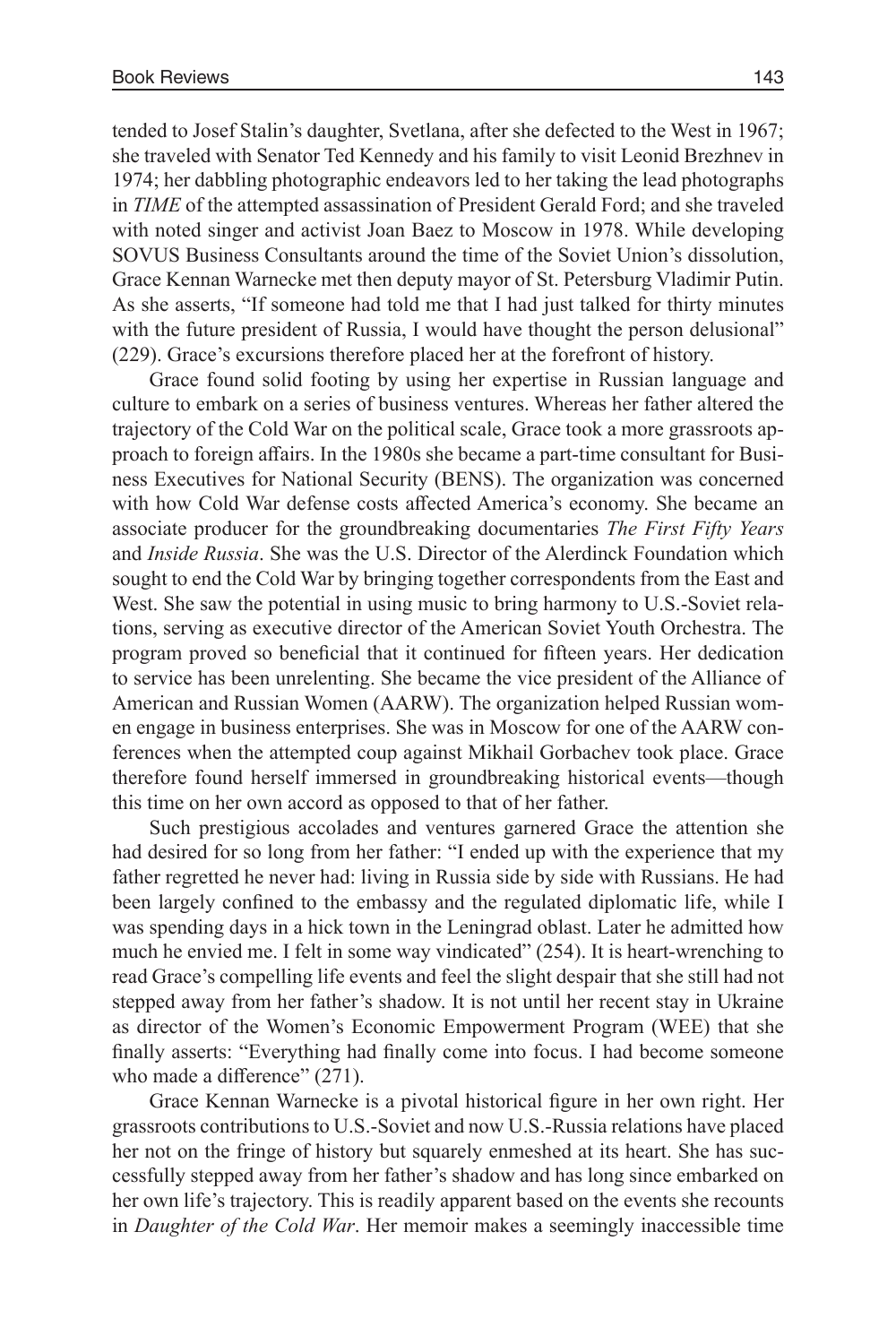tended to Josef Stalin's daughter, Svetlana, after she defected to the West in 1967; she traveled with Senator Ted Kennedy and his family to visit Leonid Brezhnev in 1974; her dabbling photographic endeavors led to her taking the lead photographs in *TIME* of the attempted assassination of President Gerald Ford; and she traveled with noted singer and activist Joan Baez to Moscow in 1978. While developing SOVUS Business Consultants around the time of the Soviet Union's dissolution, Grace Kennan Warnecke met then deputy mayor of St. Petersburg Vladimir Putin. As she asserts, "If someone had told me that I had just talked for thirty minutes with the future president of Russia, I would have thought the person delusional" (229). Grace's excursions therefore placed her at the forefront of history.

Grace found solid footing by using her expertise in Russian language and culture to embark on a series of business ventures. Whereas her father altered the trajectory of the Cold War on the political scale, Grace took a more grassroots approach to foreign affairs. In the 1980s she became a part-time consultant for Business Executives for National Security (BENS). The organization was concerned with how Cold War defense costs affected America's economy. She became an associate producer for the groundbreaking documentaries *The First Fifty Years* and *Inside Russia*. She was the U.S. Director of the Alerdinck Foundation which sought to end the Cold War by bringing together correspondents from the East and West. She saw the potential in using music to bring harmony to U.S.-Soviet relations, serving as executive director of the American Soviet Youth Orchestra. The program proved so beneficial that it continued for fifteen years. Her dedication to service has been unrelenting. She became the vice president of the Alliance of American and Russian Women (AARW). The organization helped Russian women engage in business enterprises. She was in Moscow for one of the AARW conferences when the attempted coup against Mikhail Gorbachev took place. Grace therefore found herself immersed in groundbreaking historical events—though this time on her own accord as opposed to that of her father.

Such prestigious accolades and ventures garnered Grace the attention she had desired for so long from her father: "I ended up with the experience that my father regretted he never had: living in Russia side by side with Russians. He had been largely confined to the embassy and the regulated diplomatic life, while I was spending days in a hick town in the Leningrad oblast. Later he admitted how much he envied me. I felt in some way vindicated" (254). It is heart-wrenching to read Grace's compelling life events and feel the slight despair that she still had not stepped away from her father's shadow. It is not until her recent stay in Ukraine as director of the Women's Economic Empowerment Program (WEE) that she finally asserts: "Everything had finally come into focus. I had become someone who made a difference" (271).

Grace Kennan Warnecke is a pivotal historical figure in her own right. Her grassroots contributions to U.S.-Soviet and now U.S.-Russia relations have placed her not on the fringe of history but squarely enmeshed at its heart. She has successfully stepped away from her father's shadow and has long since embarked on her own life's trajectory. This is readily apparent based on the events she recounts in *Daughter of the Cold War*. Her memoir makes a seemingly inaccessible time